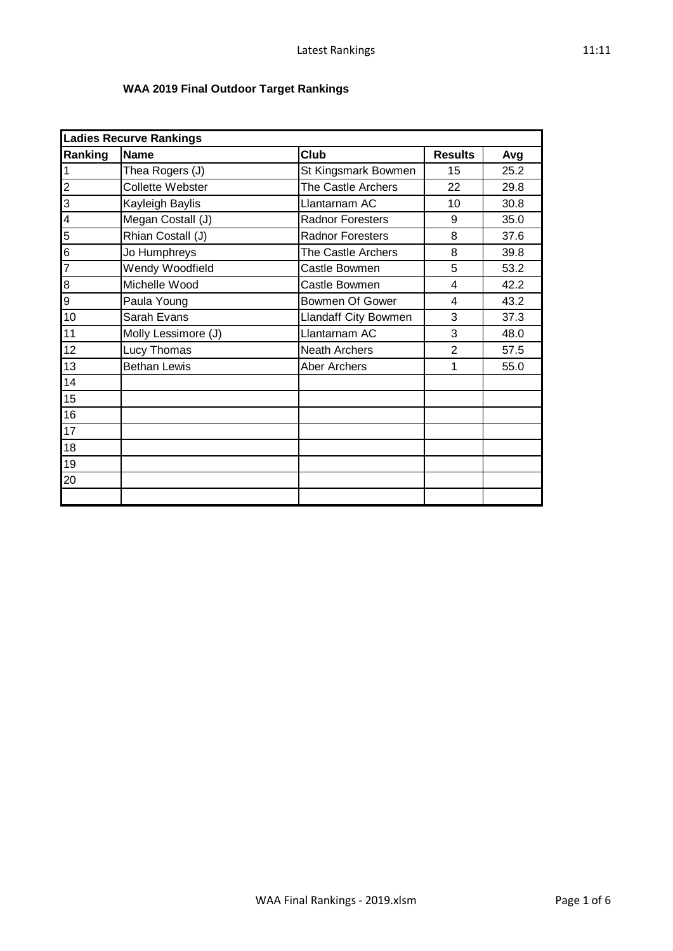## **WAA 2019 Final Outdoor Target Rankings**

|                         | <b>Ladies Recurve Rankings</b> |                             |                         |      |  |  |
|-------------------------|--------------------------------|-----------------------------|-------------------------|------|--|--|
| Ranking                 | <b>Name</b>                    | Club                        | <b>Results</b>          | Avg  |  |  |
| $\overline{1}$          | Thea Rogers (J)                | St Kingsmark Bowmen         | 15                      | 25.2 |  |  |
| $\overline{a}$          | <b>Collette Webster</b>        | The Castle Archers          | 22                      | 29.8 |  |  |
| $\overline{3}$          | Kayleigh Baylis                | Llantarnam AC               | 10                      | 30.8 |  |  |
| $\overline{\mathbf{4}}$ | Megan Costall (J)              | <b>Radnor Foresters</b>     | 9                       | 35.0 |  |  |
| 5                       | Rhian Costall (J)              | <b>Radnor Foresters</b>     | 8                       | 37.6 |  |  |
| $\overline{6}$          | Jo Humphreys                   | The Castle Archers          | 8                       | 39.8 |  |  |
| $\overline{7}$          | Wendy Woodfield                | Castle Bowmen               | 5                       | 53.2 |  |  |
| 8                       | Michelle Wood                  | Castle Bowmen               | 4                       | 42.2 |  |  |
| $\overline{9}$          | Paula Young                    | Bowmen Of Gower             | $\overline{\mathbf{4}}$ | 43.2 |  |  |
| 10                      | Sarah Evans                    | <b>Llandaff City Bowmen</b> | 3                       | 37.3 |  |  |
| 11                      | Molly Lessimore (J)            | Llantarnam AC               | 3                       | 48.0 |  |  |
| 12                      | Lucy Thomas                    | <b>Neath Archers</b>        | $\overline{2}$          | 57.5 |  |  |
| 13                      | <b>Bethan Lewis</b>            | Aber Archers                | 1                       | 55.0 |  |  |
| 14                      |                                |                             |                         |      |  |  |
| 15                      |                                |                             |                         |      |  |  |
| 16                      |                                |                             |                         |      |  |  |
| 17                      |                                |                             |                         |      |  |  |
| 18                      |                                |                             |                         |      |  |  |
| 19                      |                                |                             |                         |      |  |  |
| 20                      |                                |                             |                         |      |  |  |
|                         |                                |                             |                         |      |  |  |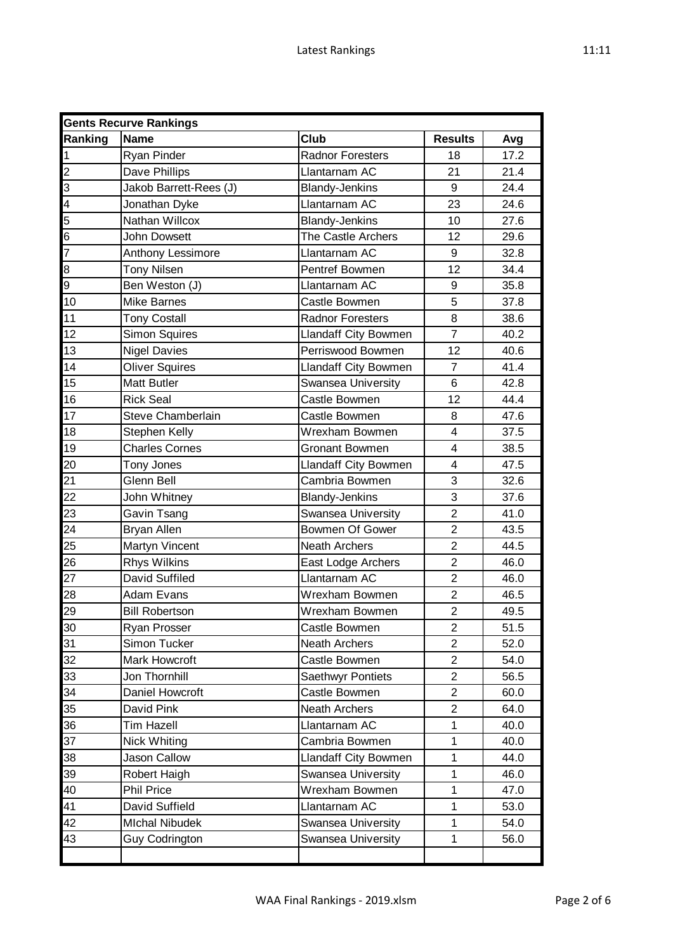| <b>Gents Recurve Rankings</b>                                       |                        |                             |                         |      |  |
|---------------------------------------------------------------------|------------------------|-----------------------------|-------------------------|------|--|
| <b>Ranking</b>                                                      | <b>Name</b>            | Club                        | <b>Results</b>          | Avg  |  |
| $\mathbf{1}$                                                        | Ryan Pinder            | <b>Radnor Foresters</b>     | 18                      | 17.2 |  |
| $\frac{2}{3}$ $\frac{3}{4}$ $\frac{4}{5}$ $\frac{6}{7}$             | Dave Phillips          | Llantarnam AC               | 21                      | 21.4 |  |
|                                                                     | Jakob Barrett-Rees (J) | <b>Blandy-Jenkins</b>       | 9                       | 24.4 |  |
|                                                                     | Jonathan Dyke          | Llantarnam AC               | 23                      | 24.6 |  |
|                                                                     | Nathan Willcox         | <b>Blandy-Jenkins</b>       | 10                      | 27.6 |  |
|                                                                     | <b>John Dowsett</b>    | The Castle Archers          | 12                      | 29.6 |  |
|                                                                     | Anthony Lessimore      | Llantarnam AC               | 9                       | 32.8 |  |
| $\begin{array}{c}\n 8 \\  \hline\n 9 \\  \hline\n 10\n \end{array}$ | <b>Tony Nilsen</b>     | Pentref Bowmen              | 12                      | 34.4 |  |
|                                                                     | Ben Weston (J)         | Llantarnam AC               | 9                       | 35.8 |  |
|                                                                     | <b>Mike Barnes</b>     | Castle Bowmen               | 5                       | 37.8 |  |
| 11                                                                  | <b>Tony Costall</b>    | <b>Radnor Foresters</b>     | 8                       | 38.6 |  |
| 12                                                                  | <b>Simon Squires</b>   | <b>Llandaff City Bowmen</b> | $\overline{7}$          | 40.2 |  |
| 13                                                                  | <b>Nigel Davies</b>    | Perriswood Bowmen           | 12                      | 40.6 |  |
| 14                                                                  | <b>Oliver Squires</b>  | <b>Llandaff City Bowmen</b> | $\overline{7}$          | 41.4 |  |
| 15                                                                  | <b>Matt Butler</b>     | Swansea University          | 6                       | 42.8 |  |
| 16                                                                  | <b>Rick Seal</b>       | Castle Bowmen               | 12                      | 44.4 |  |
| 17                                                                  | Steve Chamberlain      | Castle Bowmen               | 8                       | 47.6 |  |
| 18                                                                  | Stephen Kelly          | Wrexham Bowmen              | 4                       | 37.5 |  |
| 19                                                                  | <b>Charles Cornes</b>  | <b>Gronant Bowmen</b>       | $\overline{4}$          | 38.5 |  |
| 20                                                                  | Tony Jones             | Llandaff City Bowmen        | $\overline{\mathbf{4}}$ | 47.5 |  |
| 21                                                                  | Glenn Bell             | Cambria Bowmen              | 3                       | 32.6 |  |
| 22                                                                  | John Whitney           | <b>Blandy-Jenkins</b>       | 3                       | 37.6 |  |
| 23                                                                  | Gavin Tsang            | Swansea University          | $\overline{2}$          | 41.0 |  |
| 24                                                                  | Bryan Allen            | <b>Bowmen Of Gower</b>      | $\overline{2}$          | 43.5 |  |
| 25                                                                  | Martyn Vincent         | <b>Neath Archers</b>        | $\overline{2}$          | 44.5 |  |
| 26                                                                  | <b>Rhys Wilkins</b>    | East Lodge Archers          | $\overline{2}$          | 46.0 |  |
| 27                                                                  | David Suffiled         | Llantarnam AC               | $\overline{2}$          | 46.0 |  |
| 28                                                                  | Adam Evans             | Wrexham Bowmen              | $\overline{2}$          | 46.5 |  |
| 29                                                                  | <b>Bill Robertson</b>  | Wrexham Bowmen              | $\overline{2}$          | 49.5 |  |
| 30                                                                  | Ryan Prosser           | Castle Bowmen               | $\overline{2}$          | 51.5 |  |
| 31                                                                  | Simon Tucker           | <b>Neath Archers</b>        | $\overline{2}$          | 52.0 |  |
| 32                                                                  | Mark Howcroft          | Castle Bowmen               | $\overline{c}$          | 54.0 |  |
| 33                                                                  | Jon Thornhill          | Saethwyr Pontiets           | $\overline{2}$          | 56.5 |  |
| 34                                                                  | Daniel Howcroft        | Castle Bowmen               | $\overline{2}$          | 60.0 |  |
| 35                                                                  | David Pink             | <b>Neath Archers</b>        | $\overline{c}$          | 64.0 |  |
| 36                                                                  | Tim Hazell             | Llantarnam AC               | 1                       | 40.0 |  |
| 37                                                                  | <b>Nick Whiting</b>    | Cambria Bowmen              | 1                       | 40.0 |  |
| 38                                                                  | Jason Callow           | Llandaff City Bowmen        | 1                       | 44.0 |  |
| 39                                                                  | Robert Haigh           | Swansea University          | 1                       | 46.0 |  |
| 40                                                                  | <b>Phil Price</b>      | Wrexham Bowmen              | $\mathbf 1$             | 47.0 |  |
| 41                                                                  | David Suffield         | Llantarnam AC               | 1                       | 53.0 |  |
| 42                                                                  | <b>MIchal Nibudek</b>  | <b>Swansea University</b>   | $\mathbf{1}$            | 54.0 |  |
| 43                                                                  | <b>Guy Codrington</b>  | Swansea University          | 1                       | 56.0 |  |
|                                                                     |                        |                             |                         |      |  |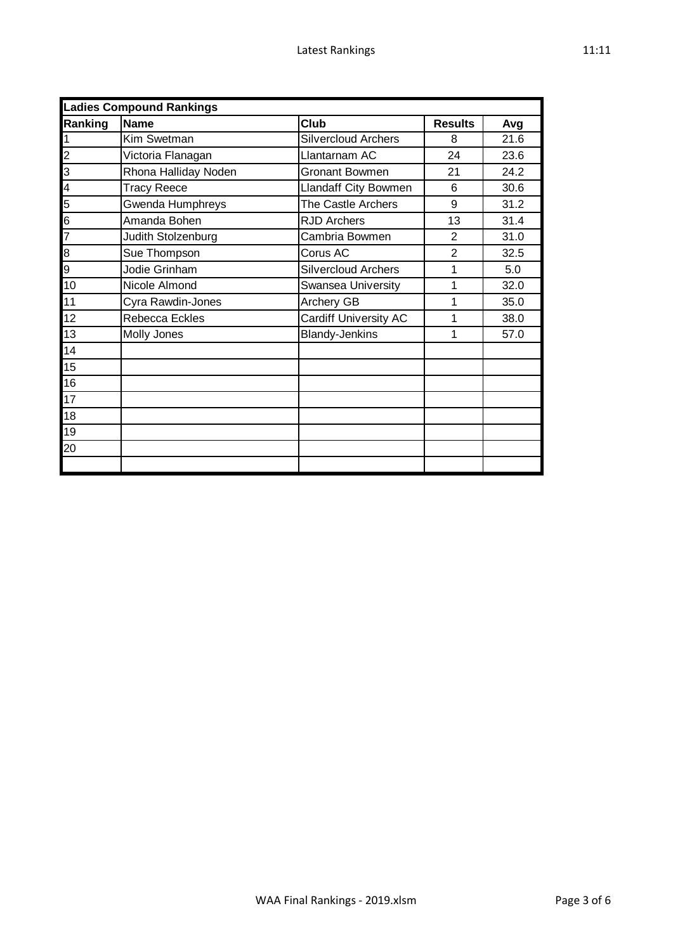|                | <b>Ladies Compound Rankings</b> |                              |                |      |  |  |
|----------------|---------------------------------|------------------------------|----------------|------|--|--|
| Ranking        | <b>Name</b>                     | Club                         | <b>Results</b> | Avg  |  |  |
| 1              | Kim Swetman                     | <b>Silvercloud Archers</b>   | 8              | 21.6 |  |  |
| $\overline{c}$ | Victoria Flanagan               | Llantarnam AC                | 24             | 23.6 |  |  |
| 3              | Rhona Halliday Noden            | Gronant Bowmen               | 21             | 24.2 |  |  |
| 4              | <b>Tracy Reece</b>              | <b>Llandaff City Bowmen</b>  | 6              | 30.6 |  |  |
| 5              | Gwenda Humphreys                | The Castle Archers           | 9              | 31.2 |  |  |
| 6              | Amanda Bohen                    | <b>RJD Archers</b>           | 13             | 31.4 |  |  |
| $\overline{7}$ | Judith Stolzenburg              | Cambria Bowmen               | $\overline{2}$ | 31.0 |  |  |
| $\overline{8}$ | Sue Thompson                    | Corus AC                     | $\overline{2}$ | 32.5 |  |  |
| ଚ<br>ଚ         | Jodie Grinham                   | <b>Silvercloud Archers</b>   | 1              | 5.0  |  |  |
| 10             | Nicole Almond                   | Swansea University           | 1              | 32.0 |  |  |
| 11             | Cyra Rawdin-Jones               | Archery GB                   | 1              | 35.0 |  |  |
| 12             | <b>Rebecca Eckles</b>           | <b>Cardiff University AC</b> | 1              | 38.0 |  |  |
| 13             | Molly Jones                     | <b>Blandy-Jenkins</b>        | 1              | 57.0 |  |  |
| 14             |                                 |                              |                |      |  |  |
| 15             |                                 |                              |                |      |  |  |
| 16             |                                 |                              |                |      |  |  |
| 17             |                                 |                              |                |      |  |  |
| 18             |                                 |                              |                |      |  |  |
| 19             |                                 |                              |                |      |  |  |
| 20             |                                 |                              |                |      |  |  |
|                |                                 |                              |                |      |  |  |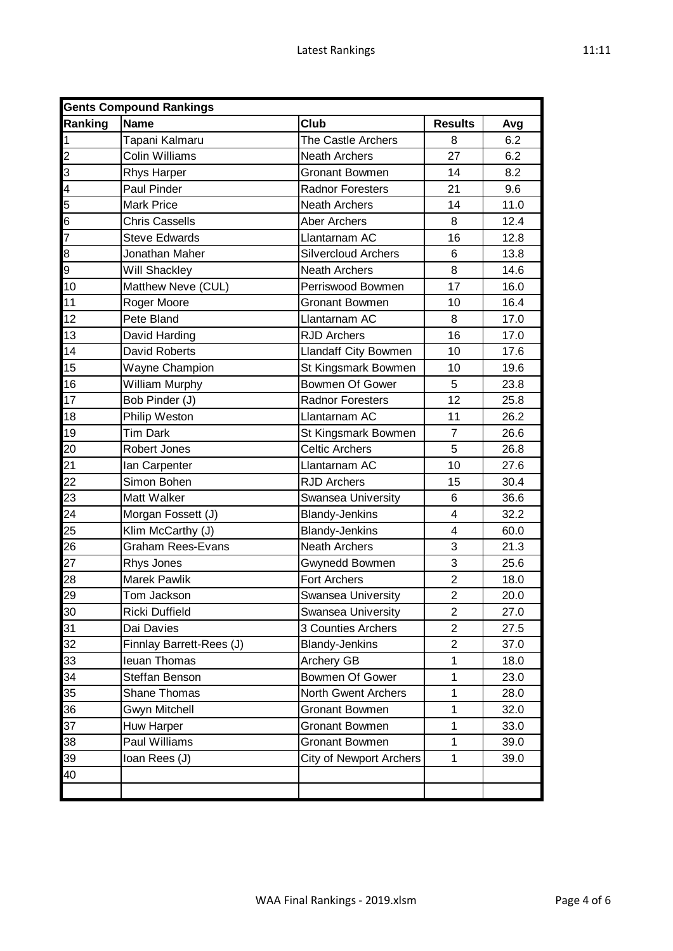| <b>Gents Compound Rankings</b> |                          |                                |                |      |  |  |
|--------------------------------|--------------------------|--------------------------------|----------------|------|--|--|
| Ranking                        | <b>Name</b>              | <b>Club</b>                    | <b>Results</b> | Avg  |  |  |
| $\mathbf{1}$                   | Tapani Kalmaru           | The Castle Archers             | 8              | 6.2  |  |  |
|                                | <b>Colin Williams</b>    | <b>Neath Archers</b>           | 27             | 6.2  |  |  |
| $\frac{2}{3}$ $\frac{3}{4}$    | <b>Rhys Harper</b>       | <b>Gronant Bowmen</b>          | 14             | 8.2  |  |  |
|                                | Paul Pinder              | <b>Radnor Foresters</b>        | 21             | 9.6  |  |  |
|                                | <b>Mark Price</b>        | <b>Neath Archers</b>           | 14             | 11.0 |  |  |
| $\frac{5}{6}$ $\frac{6}{7}$    | <b>Chris Cassells</b>    | <b>Aber Archers</b>            | 8              | 12.4 |  |  |
|                                | <b>Steve Edwards</b>     | Llantarnam AC                  | 16             | 12.8 |  |  |
|                                | Jonathan Maher           | <b>Silvercloud Archers</b>     | 6              | 13.8 |  |  |
| $\frac{8}{8}$                  | Will Shackley            | <b>Neath Archers</b>           | 8              | 14.6 |  |  |
| 10                             | Matthew Neve (CUL)       | Perriswood Bowmen              | 17             | 16.0 |  |  |
| 11                             | Roger Moore              | <b>Gronant Bowmen</b>          | 10             | 16.4 |  |  |
| 12                             | Pete Bland               | Llantarnam AC                  | 8              | 17.0 |  |  |
| 13                             | David Harding            | <b>RJD Archers</b>             | 16             | 17.0 |  |  |
| 14                             | David Roberts            | Llandaff City Bowmen           | 10             | 17.6 |  |  |
| 15                             | Wayne Champion           | St Kingsmark Bowmen            | 10             | 19.6 |  |  |
| 16                             | William Murphy           | Bowmen Of Gower                | 5              | 23.8 |  |  |
| 17                             | Bob Pinder (J)           | <b>Radnor Foresters</b>        | 12             | 25.8 |  |  |
| 18                             | Philip Weston            | Llantarnam AC                  | 11             | 26.2 |  |  |
| 19                             | <b>Tim Dark</b>          | St Kingsmark Bowmen            | $\overline{7}$ | 26.6 |  |  |
| 20                             | Robert Jones             | <b>Celtic Archers</b>          | 5              | 26.8 |  |  |
| 21                             | lan Carpenter            | Llantarnam AC                  | 10             | 27.6 |  |  |
| 22                             | Simon Bohen              | <b>RJD Archers</b>             | 15             | 30.4 |  |  |
| 23                             | Matt Walker              | Swansea University             | 6              | 36.6 |  |  |
| 24                             | Morgan Fossett (J)       | <b>Blandy-Jenkins</b>          | 4              | 32.2 |  |  |
| 25                             | Klim McCarthy (J)        | <b>Blandy-Jenkins</b>          | $\overline{4}$ | 60.0 |  |  |
| 26                             | <b>Graham Rees-Evans</b> | <b>Neath Archers</b>           | 3              | 21.3 |  |  |
| 27                             | Rhys Jones               | Gwynedd Bowmen                 | 3              | 25.6 |  |  |
| 28                             | Marek Pawlik             | <b>Fort Archers</b>            | $\overline{2}$ | 18.0 |  |  |
| 29                             | Tom Jackson              | Swansea University             | $\overline{2}$ | 20.0 |  |  |
| $\overline{30}$                | Ricki Duffield           | Swansea University             | $\overline{2}$ | 27.0 |  |  |
| 31                             | Dai Davies               | 3 Counties Archers             | 2              | 27.5 |  |  |
| 32                             | Finnlay Barrett-Rees (J) | <b>Blandy-Jenkins</b>          | $\overline{2}$ | 37.0 |  |  |
| 33                             | leuan Thomas             | Archery GB                     | 1              | 18.0 |  |  |
| 34                             | Steffan Benson           | Bowmen Of Gower                | 1              | 23.0 |  |  |
| 35                             | Shane Thomas             | North Gwent Archers            | 1              | 28.0 |  |  |
| 36                             | Gwyn Mitchell            | Gronant Bowmen                 | 1              | 32.0 |  |  |
| 37                             | Huw Harper               | <b>Gronant Bowmen</b>          | 1              | 33.0 |  |  |
| 38                             | Paul Williams            | <b>Gronant Bowmen</b>          | 1              | 39.0 |  |  |
| 39                             | Ioan Rees (J)            | <b>City of Newport Archers</b> | 1              | 39.0 |  |  |
| 40                             |                          |                                |                |      |  |  |
|                                |                          |                                |                |      |  |  |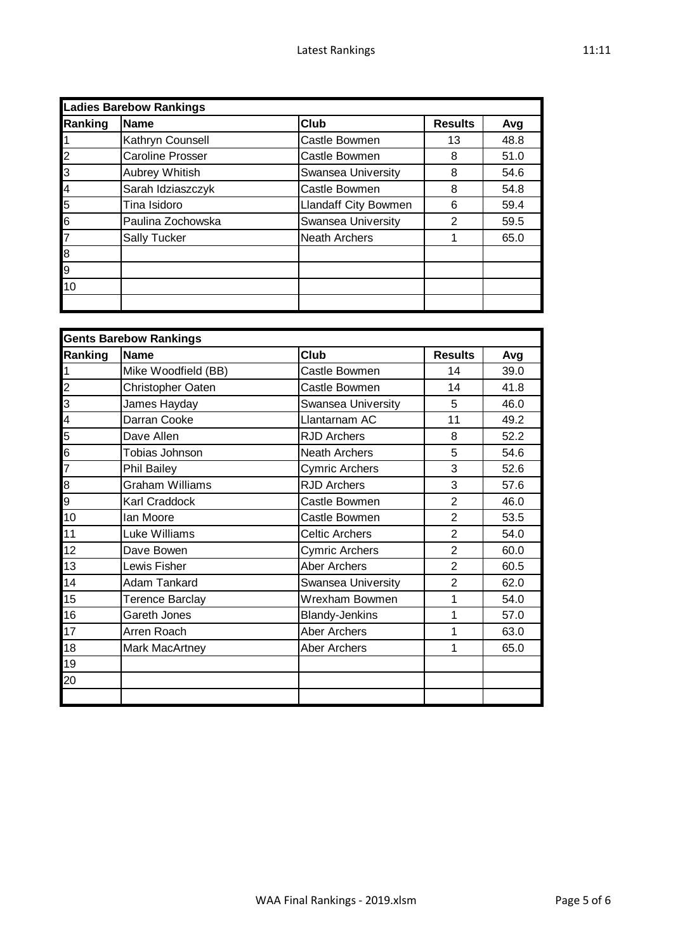| <b>Ladies Barebow Rankings</b> |                         |                      |                |      |  |
|--------------------------------|-------------------------|----------------------|----------------|------|--|
| Ranking                        | <b>Name</b>             | <b>Club</b>          | <b>Results</b> | Avg  |  |
|                                | Kathryn Counsell        | Castle Bowmen        | 13             | 48.8 |  |
| $\overline{2}$                 | <b>Caroline Prosser</b> | Castle Bowmen        | 8              | 51.0 |  |
| l3                             | Aubrey Whitish          | Swansea University   | 8              | 54.6 |  |
| 4                              | Sarah Idziaszczyk       | Castle Bowmen        | 8              | 54.8 |  |
| 5                              | Tina Isidoro            | Llandaff City Bowmen | 6              | 59.4 |  |
| 6                              | Paulina Zochowska       | Swansea University   | $\overline{2}$ | 59.5 |  |
|                                | Sally Tucker            | <b>Neath Archers</b> |                | 65.0 |  |
| 8                              |                         |                      |                |      |  |
| gl                             |                         |                      |                |      |  |
| 10                             |                         |                      |                |      |  |
|                                |                         |                      |                |      |  |

| <b>Gents Barebow Rankings</b> |                        |                       |                |      |  |
|-------------------------------|------------------------|-----------------------|----------------|------|--|
| Ranking                       | <b>Name</b>            | Club                  | <b>Results</b> | Avg  |  |
|                               | Mike Woodfield (BB)    | Castle Bowmen         | 14             | 39.0 |  |
| $\overline{c}$                | Christopher Oaten      | Castle Bowmen         | 14             | 41.8 |  |
| $\overline{3}$                | James Hayday           | Swansea University    | 5              | 46.0 |  |
| $\overline{\mathcal{A}}$      | Darran Cooke           | Llantarnam AC         | 11             | 49.2 |  |
| 5                             | Dave Allen             | <b>RJD Archers</b>    | 8              | 52.2 |  |
| $\overline{6}$                | Tobias Johnson         | <b>Neath Archers</b>  | 5              | 54.6 |  |
| 7                             | <b>Phil Bailey</b>     | Cymric Archers        | 3              | 52.6 |  |
| $\overline{\mathbf{8}}$       | <b>Graham Williams</b> | <b>RJD Archers</b>    | 3              | 57.6 |  |
| 9                             | Karl Craddock          | Castle Bowmen         | $\overline{2}$ | 46.0 |  |
| 10                            | Ian Moore              | Castle Bowmen         | $\overline{2}$ | 53.5 |  |
| 11                            | Luke Williams          | <b>Celtic Archers</b> | $\overline{2}$ | 54.0 |  |
| 12                            | Dave Bowen             | Cymric Archers        | $\overline{2}$ | 60.0 |  |
| 13                            | Lewis Fisher           | <b>Aber Archers</b>   | $\overline{2}$ | 60.5 |  |
| 14                            | Adam Tankard           | Swansea University    | $\overline{2}$ | 62.0 |  |
| 15                            | <b>Terence Barclay</b> | Wrexham Bowmen        | 1              | 54.0 |  |
| 16                            | Gareth Jones           | <b>Blandy-Jenkins</b> | 1              | 57.0 |  |
| 17                            | Arren Roach            | Aber Archers          | 1              | 63.0 |  |
| 18                            | Mark MacArtney         | <b>Aber Archers</b>   | 1              | 65.0 |  |
| 19                            |                        |                       |                |      |  |
| 20                            |                        |                       |                |      |  |
|                               |                        |                       |                |      |  |